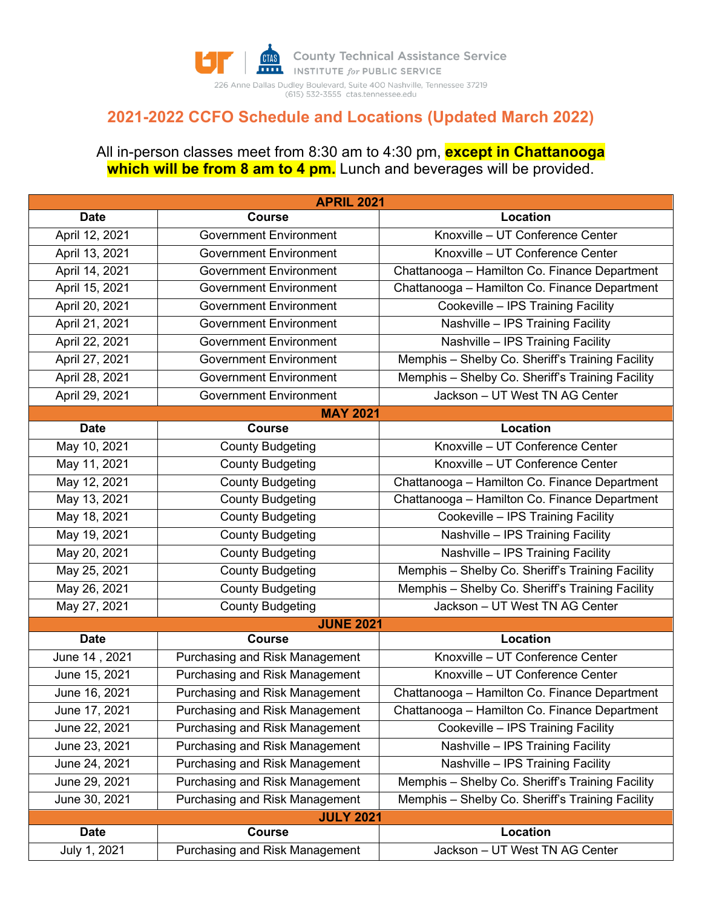

## **2021-2022 CCFO Schedule and Locations (Updated March 2022)**

## All in-person classes meet from 8:30 am to 4:30 pm, **except in Chattanooga**  which will be from 8 am to 4 pm. Lunch and beverages will be provided.

| <b>APRIL 2021</b> |                                |                                                  |  |  |  |
|-------------------|--------------------------------|--------------------------------------------------|--|--|--|
| <b>Date</b>       | <b>Course</b>                  | Location                                         |  |  |  |
| April 12, 2021    | <b>Government Environment</b>  | Knoxville - UT Conference Center                 |  |  |  |
| April 13, 2021    | <b>Government Environment</b>  | Knoxville - UT Conference Center                 |  |  |  |
| April 14, 2021    | <b>Government Environment</b>  | Chattanooga - Hamilton Co. Finance Department    |  |  |  |
| April 15, 2021    | <b>Government Environment</b>  | Chattanooga - Hamilton Co. Finance Department    |  |  |  |
| April 20, 2021    | <b>Government Environment</b>  | Cookeville - IPS Training Facility               |  |  |  |
| April 21, 2021    | <b>Government Environment</b>  | Nashville - IPS Training Facility                |  |  |  |
| April 22, 2021    | <b>Government Environment</b>  | Nashville - IPS Training Facility                |  |  |  |
| April 27, 2021    | <b>Government Environment</b>  | Memphis - Shelby Co. Sheriff's Training Facility |  |  |  |
| April 28, 2021    | <b>Government Environment</b>  | Memphis - Shelby Co. Sheriff's Training Facility |  |  |  |
| April 29, 2021    | <b>Government Environment</b>  | Jackson - UT West TN AG Center                   |  |  |  |
|                   | <b>MAY 2021</b>                |                                                  |  |  |  |
| <b>Date</b>       | <b>Course</b>                  | Location                                         |  |  |  |
| May 10, 2021      | <b>County Budgeting</b>        | Knoxville - UT Conference Center                 |  |  |  |
| May 11, 2021      | <b>County Budgeting</b>        | Knoxville - UT Conference Center                 |  |  |  |
| May 12, 2021      | <b>County Budgeting</b>        | Chattanooga - Hamilton Co. Finance Department    |  |  |  |
| May 13, 2021      | <b>County Budgeting</b>        | Chattanooga - Hamilton Co. Finance Department    |  |  |  |
| May 18, 2021      | <b>County Budgeting</b>        | Cookeville - IPS Training Facility               |  |  |  |
| May 19, 2021      | <b>County Budgeting</b>        | Nashville - IPS Training Facility                |  |  |  |
| May 20, 2021      | <b>County Budgeting</b>        | Nashville - IPS Training Facility                |  |  |  |
| May 25, 2021      | <b>County Budgeting</b>        | Memphis - Shelby Co. Sheriff's Training Facility |  |  |  |
| May 26, 2021      | <b>County Budgeting</b>        | Memphis - Shelby Co. Sheriff's Training Facility |  |  |  |
| May 27, 2021      | <b>County Budgeting</b>        | Jackson - UT West TN AG Center                   |  |  |  |
|                   | <b>JUNE 2021</b>               |                                                  |  |  |  |
| <b>Date</b>       | <b>Course</b>                  | Location                                         |  |  |  |
| June 14, 2021     | Purchasing and Risk Management | Knoxville - UT Conference Center                 |  |  |  |
| June 15, 2021     | Purchasing and Risk Management | Knoxville - UT Conference Center                 |  |  |  |
| June 16, 2021     | Purchasing and Risk Management | Chattanooga - Hamilton Co. Finance Department    |  |  |  |
| June 17, 2021     | Purchasing and Risk Management | Chattanooga - Hamilton Co. Finance Department    |  |  |  |
| June 22, 2021     | Purchasing and Risk Management | Cookeville - IPS Training Facility               |  |  |  |
| June 23, 2021     | Purchasing and Risk Management | Nashville - IPS Training Facility                |  |  |  |
| June 24, 2021     | Purchasing and Risk Management | Nashville - IPS Training Facility                |  |  |  |
| June 29, 2021     | Purchasing and Risk Management | Memphis - Shelby Co. Sheriff's Training Facility |  |  |  |
| June 30, 2021     | Purchasing and Risk Management | Memphis - Shelby Co. Sheriff's Training Facility |  |  |  |
| <b>JULY 2021</b>  |                                |                                                  |  |  |  |
| <b>Date</b>       | Course                         | Location                                         |  |  |  |
| July 1, 2021      | Purchasing and Risk Management | Jackson - UT West TN AG Center                   |  |  |  |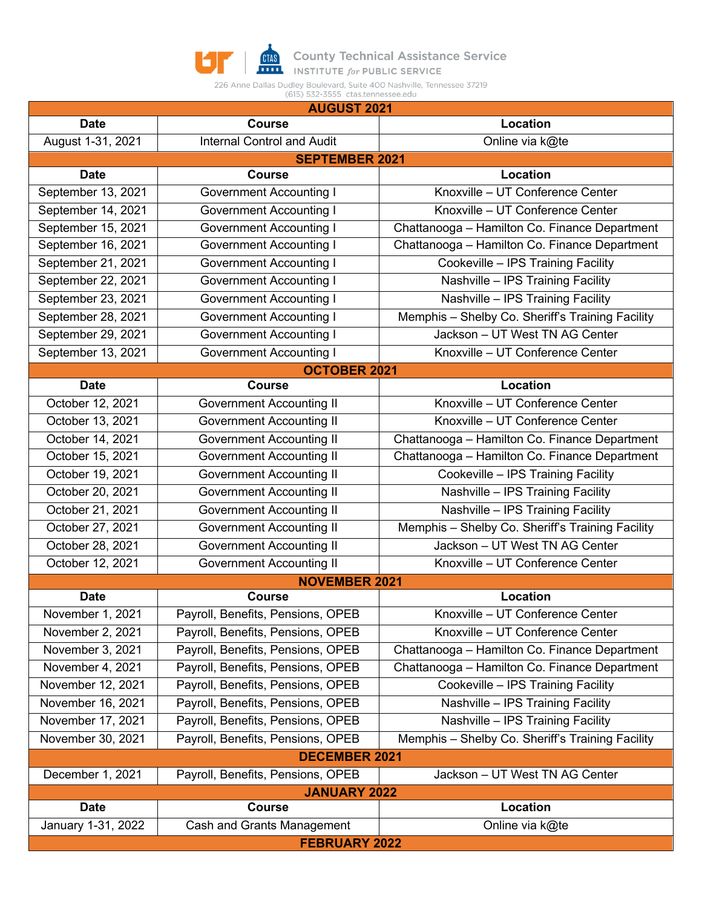

**COUNTY Technical Assistance Service**<br>**THE INSTITUTE** for PUBLIC SERVICE

226 Anne Dallas Dudley Boulevard, Suite 400 Nashville, Tennessee 37219<br>(615) 532-3555 ctas.tennessee.edu

| <b>AUGUST 2021</b>    |                                   |                                                  |  |  |  |
|-----------------------|-----------------------------------|--------------------------------------------------|--|--|--|
| <b>Date</b>           | <b>Course</b>                     | Location                                         |  |  |  |
| August 1-31, 2021     | <b>Internal Control and Audit</b> | Online via k@te                                  |  |  |  |
| <b>SEPTEMBER 2021</b> |                                   |                                                  |  |  |  |
| <b>Date</b>           | <b>Course</b>                     | Location                                         |  |  |  |
| September 13, 2021    | <b>Government Accounting I</b>    | Knoxville - UT Conference Center                 |  |  |  |
| September 14, 2021    | <b>Government Accounting I</b>    | Knoxville - UT Conference Center                 |  |  |  |
| September 15, 2021    | <b>Government Accounting I</b>    | Chattanooga - Hamilton Co. Finance Department    |  |  |  |
| September 16, 2021    | <b>Government Accounting I</b>    | Chattanooga - Hamilton Co. Finance Department    |  |  |  |
| September 21, 2021    | <b>Government Accounting I</b>    | Cookeville - IPS Training Facility               |  |  |  |
| September 22, 2021    | <b>Government Accounting I</b>    | Nashville - IPS Training Facility                |  |  |  |
| September 23, 2021    | <b>Government Accounting I</b>    | Nashville - IPS Training Facility                |  |  |  |
| September 28, 2021    | <b>Government Accounting I</b>    | Memphis - Shelby Co. Sheriff's Training Facility |  |  |  |
| September 29, 2021    | <b>Government Accounting I</b>    | Jackson - UT West TN AG Center                   |  |  |  |
| September 13, 2021    | <b>Government Accounting I</b>    | Knoxville - UT Conference Center                 |  |  |  |
|                       | <b>OCTOBER 2021</b>               |                                                  |  |  |  |
| <b>Date</b>           | <b>Course</b>                     | Location                                         |  |  |  |
| October 12, 2021      | <b>Government Accounting II</b>   | Knoxville - UT Conference Center                 |  |  |  |
| October 13, 2021      | <b>Government Accounting II</b>   | Knoxville - UT Conference Center                 |  |  |  |
| October 14, 2021      | <b>Government Accounting II</b>   | Chattanooga - Hamilton Co. Finance Department    |  |  |  |
| October 15, 2021      | <b>Government Accounting II</b>   | Chattanooga - Hamilton Co. Finance Department    |  |  |  |
| October 19, 2021      | Government Accounting II          | Cookeville - IPS Training Facility               |  |  |  |
| October 20, 2021      | <b>Government Accounting II</b>   | Nashville - IPS Training Facility                |  |  |  |
| October 21, 2021      | <b>Government Accounting II</b>   | Nashville - IPS Training Facility                |  |  |  |
| October 27, 2021      | <b>Government Accounting II</b>   | Memphis - Shelby Co. Sheriff's Training Facility |  |  |  |
| October 28, 2021      | <b>Government Accounting II</b>   | Jackson - UT West TN AG Center                   |  |  |  |
| October 12, 2021      | <b>Government Accounting II</b>   | Knoxville - UT Conference Center                 |  |  |  |
| <b>NOVEMBER 2021</b>  |                                   |                                                  |  |  |  |
| <b>Date</b>           | <b>Course</b>                     | Location                                         |  |  |  |
| November 1, 2021      | Payroll, Benefits, Pensions, OPEB | Knoxville - UT Conference Center                 |  |  |  |
| November 2, 2021      | Payroll, Benefits, Pensions, OPEB | Knoxville - UT Conference Center                 |  |  |  |
| November 3, 2021      | Payroll, Benefits, Pensions, OPEB | Chattanooga - Hamilton Co. Finance Department    |  |  |  |
| November 4, 2021      | Payroll, Benefits, Pensions, OPEB | Chattanooga - Hamilton Co. Finance Department    |  |  |  |
| November 12, 2021     | Payroll, Benefits, Pensions, OPEB | Cookeville - IPS Training Facility               |  |  |  |
| November 16, 2021     | Payroll, Benefits, Pensions, OPEB | Nashville - IPS Training Facility                |  |  |  |
| November 17, 2021     | Payroll, Benefits, Pensions, OPEB | Nashville - IPS Training Facility                |  |  |  |
| November 30, 2021     | Payroll, Benefits, Pensions, OPEB | Memphis - Shelby Co. Sheriff's Training Facility |  |  |  |
| <b>DECEMBER 2021</b>  |                                   |                                                  |  |  |  |
| December 1, 2021      | Payroll, Benefits, Pensions, OPEB | Jackson - UT West TN AG Center                   |  |  |  |
| <b>JANUARY 2022</b>   |                                   |                                                  |  |  |  |
| <b>Date</b>           | <b>Course</b>                     | Location                                         |  |  |  |
| January 1-31, 2022    | Cash and Grants Management        | Online via k@te                                  |  |  |  |
| <b>FEBRUARY 2022</b>  |                                   |                                                  |  |  |  |